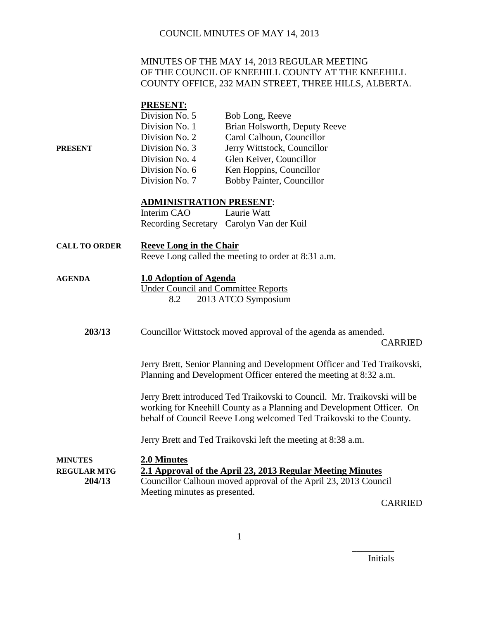#### MINUTES OF THE MAY 14, 2013 REGULAR MEETING OF THE COUNCIL OF KNEEHILL COUNTY AT THE KNEEHILL COUNTY OFFICE, 232 MAIN STREET, THREE HILLS, ALBERTA.

#### **PRESENT:**

|         | Division No. 5 | Bob Long, Reeve               |
|---------|----------------|-------------------------------|
|         | Division No. 1 | Brian Holsworth, Deputy Reeve |
|         | Division No. 2 | Carol Calhoun, Councillor     |
| PRESENT | Division No. 3 | Jerry Wittstock, Councillor   |
|         | Division No. 4 | Glen Keiver, Councillor       |
|         | Division No. 6 | Ken Hoppins, Councillor       |
|         | Division No. 7 | Bobby Painter, Councillor     |

#### **ADMINISTRATION PRESENT**:

| Interim CAO | Laurie Watt                              |
|-------------|------------------------------------------|
|             | Recording Secretary Carolyn Van der Kuil |

- **CALL TO ORDER Reeve Long in the Chair** Reeve Long called the meeting to order at 8:31 a.m.
- **AGENDA 1.0 Adoption of Agenda**

Under Council and Committee Reports 8.2 2013 ATCO Symposium

**203/13** Councillor Wittstock moved approval of the agenda as amended. CARRIED

> Jerry Brett, Senior Planning and Development Officer and Ted Traikovski, Planning and Development Officer entered the meeting at 8:32 a.m.

Jerry Brett introduced Ted Traikovski to Council. Mr. Traikovski will be working for Kneehill County as a Planning and Development Officer. On behalf of Council Reeve Long welcomed Ted Traikovski to the County.

Jerry Brett and Ted Traikovski left the meeting at 8:38 a.m.

| <b>MINUTES</b>     | 2.0 Minutes                                                     |
|--------------------|-----------------------------------------------------------------|
| <b>REGULAR MTG</b> | 2.1 Approval of the April 23, 2013 Regular Meeting Minutes      |
| 204/13             | Councillor Calhoun moved approval of the April 23, 2013 Council |
|                    | Meeting minutes as presented.                                   |

CARRIED

Initials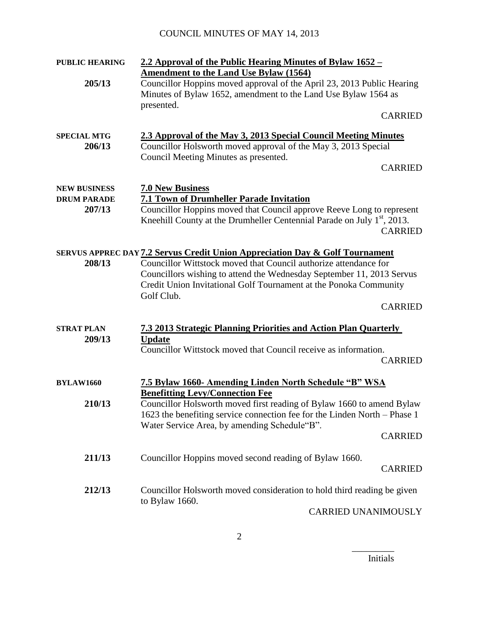| <b>PUBLIC HEARING</b>                     | 2.2 Approval of the Public Hearing Minutes of Bylaw 1652 –                                                                                                                 |                |
|-------------------------------------------|----------------------------------------------------------------------------------------------------------------------------------------------------------------------------|----------------|
|                                           | <b>Amendment to the Land Use Bylaw (1564)</b>                                                                                                                              |                |
| 205/13                                    | Councillor Hoppins moved approval of the April 23, 2013 Public Hearing                                                                                                     |                |
|                                           | Minutes of Bylaw 1652, amendment to the Land Use Bylaw 1564 as                                                                                                             |                |
|                                           | presented.                                                                                                                                                                 |                |
|                                           |                                                                                                                                                                            | <b>CARRIED</b> |
| <b>SPECIAL MTG</b><br>206/13              | 2.3 Approval of the May 3, 2013 Special Council Meeting Minutes<br>Councillor Holsworth moved approval of the May 3, 2013 Special<br>Council Meeting Minutes as presented. | <b>CARRIED</b> |
|                                           |                                                                                                                                                                            |                |
| <b>NEW BUSINESS</b><br><b>DRUM PARADE</b> | <b>7.0 New Business</b><br><b>7.1 Town of Drumheller Parade Invitation</b>                                                                                                 |                |
| 207/13                                    | Councillor Hoppins moved that Council approve Reeve Long to represent                                                                                                      |                |
|                                           | Kneehill County at the Drumheller Centennial Parade on July 1 <sup>st</sup> , 2013.                                                                                        | <b>CARRIED</b> |
|                                           | <b>SERVUS APPREC DAY 7.2 Servus Credit Union Appreciation Day &amp; Golf Tournament</b>                                                                                    |                |
| 208/13                                    | Councillor Wittstock moved that Council authorize attendance for                                                                                                           |                |
|                                           | Councillors wishing to attend the Wednesday September 11, 2013 Servus                                                                                                      |                |
|                                           | Credit Union Invitational Golf Tournament at the Ponoka Community                                                                                                          |                |
|                                           | Golf Club.                                                                                                                                                                 |                |
|                                           |                                                                                                                                                                            | <b>CARRIED</b> |
|                                           |                                                                                                                                                                            |                |
| <b>STRAT PLAN</b><br>209/13               | <b>7.3 2013 Strategic Planning Priorities and Action Plan Quarterly</b><br><b>Update</b>                                                                                   |                |
|                                           | Councillor Wittstock moved that Council receive as information.                                                                                                            |                |
|                                           |                                                                                                                                                                            | <b>CARRIED</b> |
|                                           |                                                                                                                                                                            |                |
| <b>BYLAW1660</b>                          | 7.5 Bylaw 1660- Amending Linden North Schedule "B" WSA                                                                                                                     |                |
|                                           | <b>Benefitting Levy/Connection Fee</b>                                                                                                                                     |                |
| 210/13                                    | Councillor Holsworth moved first reading of Bylaw 1660 to amend Bylaw                                                                                                      |                |
|                                           | 1623 the benefiting service connection fee for the Linden North – Phase 1                                                                                                  |                |
|                                           | Water Service Area, by amending Schedule"B".                                                                                                                               |                |
|                                           |                                                                                                                                                                            | <b>CARRIED</b> |
| 211/13                                    | Councillor Hoppins moved second reading of Bylaw 1660.                                                                                                                     |                |
|                                           |                                                                                                                                                                            | <b>CARRIED</b> |
|                                           |                                                                                                                                                                            |                |
| 212/13                                    | Councillor Holsworth moved consideration to hold third reading be given                                                                                                    |                |
|                                           | to Bylaw 1660.                                                                                                                                                             |                |
|                                           | <b>CARRIED UNANIMOUSLY</b>                                                                                                                                                 |                |

Initials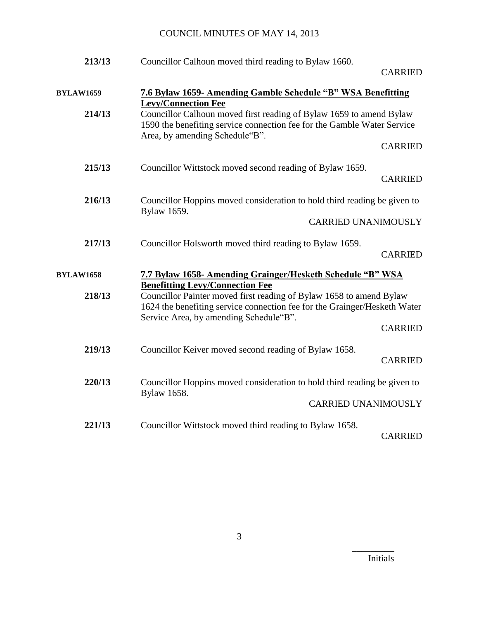| 213/13           | Councillor Calhoun moved third reading to Bylaw 1660.                                                                                                                                      |                |
|------------------|--------------------------------------------------------------------------------------------------------------------------------------------------------------------------------------------|----------------|
|                  |                                                                                                                                                                                            | <b>CARRIED</b> |
| <b>BYLAW1659</b> | <b>7.6 Bylaw 1659- Amending Gamble Schedule "B" WSA Benefitting</b><br><b>Levy/Connection Fee</b>                                                                                          |                |
| 214/13           | Councillor Calhoun moved first reading of Bylaw 1659 to amend Bylaw<br>1590 the benefiting service connection fee for the Gamble Water Service<br>Area, by amending Schedule"B".           |                |
|                  |                                                                                                                                                                                            | <b>CARRIED</b> |
| 215/13           | Councillor Wittstock moved second reading of Bylaw 1659.                                                                                                                                   | <b>CARRIED</b> |
| 216/13           | Councillor Hoppins moved consideration to hold third reading be given to<br>Bylaw 1659.                                                                                                    |                |
|                  | <b>CARRIED UNANIMOUSLY</b>                                                                                                                                                                 |                |
| 217/13           | Councillor Holsworth moved third reading to Bylaw 1659.                                                                                                                                    | <b>CARRIED</b> |
| <b>BYLAW1658</b> | 7.7 Bylaw 1658- Amending Grainger/Hesketh Schedule "B" WSA<br><b>Benefitting Levy/Connection Fee</b>                                                                                       |                |
| 218/13           | Councillor Painter moved first reading of Bylaw 1658 to amend Bylaw<br>1624 the benefiting service connection fee for the Grainger/Hesketh Water<br>Service Area, by amending Schedule"B". | <b>CARRIED</b> |
|                  |                                                                                                                                                                                            |                |
| 219/13           | Councillor Keiver moved second reading of Bylaw 1658.                                                                                                                                      | <b>CARRIED</b> |
| 220/13           | Councillor Hoppins moved consideration to hold third reading be given to<br>Bylaw 1658.                                                                                                    |                |
|                  | <b>CARRIED UNANIMOUSLY</b>                                                                                                                                                                 |                |
| 221/13           | Councillor Wittstock moved third reading to Bylaw 1658.                                                                                                                                    | <b>CARRIED</b> |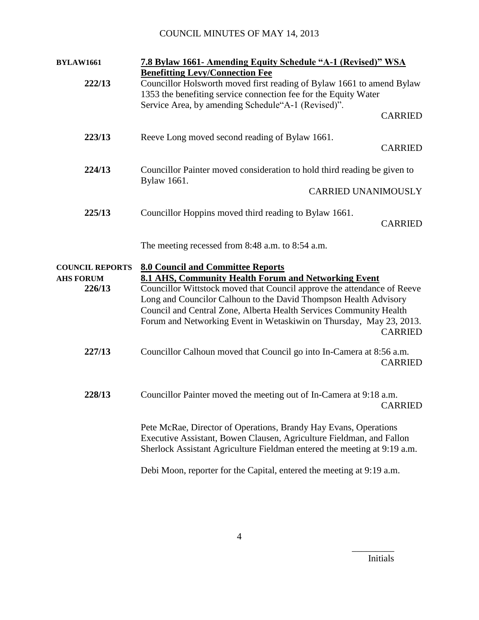| <b>BYLAW1661</b>       | 7.8 Bylaw 1661- Amending Equity Schedule "A-1 (Revised)" WSA                                                          |  |
|------------------------|-----------------------------------------------------------------------------------------------------------------------|--|
|                        | <b>Benefitting Levy/Connection Fee</b>                                                                                |  |
| 222/13                 | Councillor Holsworth moved first reading of Bylaw 1661 to amend Bylaw                                                 |  |
|                        | 1353 the benefiting service connection fee for the Equity Water<br>Service Area, by amending Schedule"A-1 (Revised)". |  |
|                        | <b>CARRIED</b>                                                                                                        |  |
|                        |                                                                                                                       |  |
| 223/13                 | Reeve Long moved second reading of Bylaw 1661.                                                                        |  |
|                        | <b>CARRIED</b>                                                                                                        |  |
| 224/13                 | Councillor Painter moved consideration to hold third reading be given to                                              |  |
|                        | Bylaw 1661.                                                                                                           |  |
|                        | <b>CARRIED UNANIMOUSLY</b>                                                                                            |  |
| 225/13                 | Councillor Hoppins moved third reading to Bylaw 1661.                                                                 |  |
|                        | <b>CARRIED</b>                                                                                                        |  |
|                        |                                                                                                                       |  |
|                        | The meeting recessed from 8:48 a.m. to 8:54 a.m.                                                                      |  |
| <b>COUNCIL REPORTS</b> | <b>8.0 Council and Committee Reports</b>                                                                              |  |
| <b>AHS FORUM</b>       | 8.1 AHS, Community Health Forum and Networking Event                                                                  |  |
| 226/13                 | Councillor Wittstock moved that Council approve the attendance of Reeve                                               |  |
|                        | Long and Councilor Calhoun to the David Thompson Health Advisory                                                      |  |
|                        | Council and Central Zone, Alberta Health Services Community Health                                                    |  |
|                        | Forum and Networking Event in Wetaskiwin on Thursday, May 23, 2013.<br><b>CARRIED</b>                                 |  |
|                        |                                                                                                                       |  |
| 227/13                 | Councillor Calhoun moved that Council go into In-Camera at 8:56 a.m.                                                  |  |
|                        | <b>CARRIED</b>                                                                                                        |  |
|                        |                                                                                                                       |  |
| 228/13                 | Councillor Painter moved the meeting out of In-Camera at 9:18 a.m.                                                    |  |
|                        | <b>CARRIED</b>                                                                                                        |  |
|                        | Pete McRae, Director of Operations, Brandy Hay Evans, Operations                                                      |  |
|                        | Executive Assistant, Bowen Clausen, Agriculture Fieldman, and Fallon                                                  |  |
|                        | Sherlock Assistant Agriculture Fieldman entered the meeting at 9:19 a.m.                                              |  |
|                        | Debi Moon, reporter for the Capital, entered the meeting at 9:19 a.m.                                                 |  |
|                        |                                                                                                                       |  |

Initials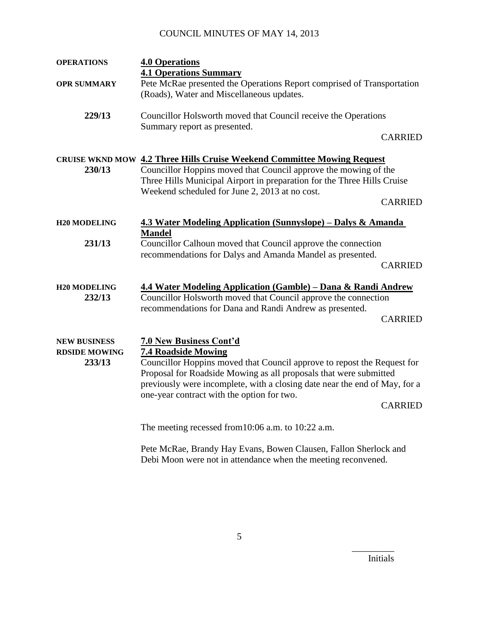| <b>OPERATIONS</b>                                     | <b>4.0 Operations</b>                                                                                                                                                                                                                                                                                                                    |                |
|-------------------------------------------------------|------------------------------------------------------------------------------------------------------------------------------------------------------------------------------------------------------------------------------------------------------------------------------------------------------------------------------------------|----------------|
| <b>OPR SUMMARY</b>                                    | <b>4.1 Operations Summary</b><br>Pete McRae presented the Operations Report comprised of Transportation<br>(Roads), Water and Miscellaneous updates.                                                                                                                                                                                     |                |
| 229/13                                                | Councillor Holsworth moved that Council receive the Operations<br>Summary report as presented.                                                                                                                                                                                                                                           | <b>CARRIED</b> |
| 230/13                                                | <b>CRUISE WKND MOW 4.2 Three Hills Cruise Weekend Committee Mowing Request</b><br>Councillor Hoppins moved that Council approve the mowing of the<br>Three Hills Municipal Airport in preparation for the Three Hills Cruise<br>Weekend scheduled for June 2, 2013 at no cost.                                                           | <b>CARRIED</b> |
| <b>H20 MODELING</b>                                   | 4.3 Water Modeling Application (Sunnyslope) – Dalys & Amanda                                                                                                                                                                                                                                                                             |                |
| 231/13                                                | <b>Mandel</b><br>Councillor Calhoun moved that Council approve the connection<br>recommendations for Dalys and Amanda Mandel as presented.                                                                                                                                                                                               | <b>CARRIED</b> |
| <b>H20 MODELING</b><br>232/13                         | <u> 4.4 Water Modeling Application (Gamble) – Dana &amp; Randi Andrew</u><br>Councillor Holsworth moved that Council approve the connection<br>recommendations for Dana and Randi Andrew as presented.                                                                                                                                   | <b>CARRIED</b> |
| <b>NEW BUSINESS</b><br><b>RDSIDE MOWING</b><br>233/13 | <b>7.0 New Business Cont'd</b><br><b>7.4 Roadside Mowing</b><br>Councillor Hoppins moved that Council approve to repost the Request for<br>Proposal for Roadside Mowing as all proposals that were submitted<br>previously were incomplete, with a closing date near the end of May, for a<br>one-year contract with the option for two. | <b>CARRIED</b> |
|                                                       | The meeting recessed from 10:06 a.m. to 10:22 a.m.                                                                                                                                                                                                                                                                                       |                |
|                                                       | Pete McRae, Brandy Hay Evans, Bowen Clausen, Fallon Sherlock and                                                                                                                                                                                                                                                                         |                |

Debi Moon were not in attendance when the meeting reconvened.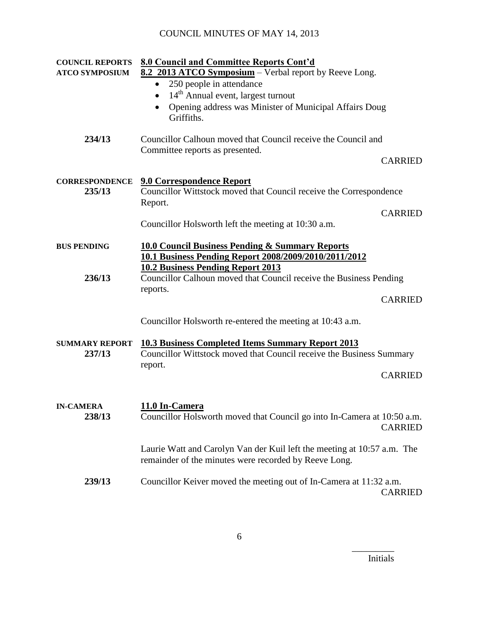| <b>COUNCIL REPORTS</b>          | 8.0 Council and Committee Reports Cont'd                                                                                                    |
|---------------------------------|---------------------------------------------------------------------------------------------------------------------------------------------|
| <b>ATCO SYMPOSIUM</b>           | 8.2 2013 ATCO Symposium – Verbal report by Reeve Long.                                                                                      |
|                                 | 250 people in attendance<br>$\bullet$                                                                                                       |
|                                 | 14 <sup>th</sup> Annual event, largest turnout<br>$\bullet$                                                                                 |
|                                 | Opening address was Minister of Municipal Affairs Doug<br>$\bullet$<br>Griffiths.                                                           |
| 234/13                          | Councillor Calhoun moved that Council receive the Council and<br>Committee reports as presented.                                            |
|                                 | <b>CARRIED</b>                                                                                                                              |
| <b>CORRESPONDENCE</b><br>235/13 | <b>9.0 Correspondence Report</b><br>Councillor Wittstock moved that Council receive the Correspondence<br>Report.                           |
|                                 | <b>CARRIED</b>                                                                                                                              |
|                                 | Councillor Holsworth left the meeting at 10:30 a.m.                                                                                         |
| <b>BUS PENDING</b>              | <b>10.0 Council Business Pending &amp; Summary Reports</b>                                                                                  |
|                                 | 10.1 Business Pending Report 2008/2009/2010/2011/2012<br><b>10.2 Business Pending Report 2013</b>                                           |
| 236/13                          | Councillor Calhoun moved that Council receive the Business Pending                                                                          |
|                                 | reports.                                                                                                                                    |
|                                 | <b>CARRIED</b>                                                                                                                              |
|                                 | Councillor Holsworth re-entered the meeting at 10:43 a.m.                                                                                   |
| <b>SUMMARY REPORT</b><br>237/13 | <b>10.3 Business Completed Items Summary Report 2013</b><br>Councillor Wittstock moved that Council receive the Business Summary<br>report. |
|                                 | <b>CARRIED</b>                                                                                                                              |
| <b>IN-CAMERA</b>                | 11.0 In-Camera                                                                                                                              |
| 238/13                          | Councillor Holsworth moved that Council go into In-Camera at 10:50 a.m.<br><b>CARRIED</b>                                                   |
|                                 | Laurie Watt and Carolyn Van der Kuil left the meeting at 10:57 a.m. The<br>remainder of the minutes were recorded by Reeve Long.            |
| 239/13                          | Councillor Keiver moved the meeting out of In-Camera at 11:32 a.m.<br><b>CARRIED</b>                                                        |

Initials